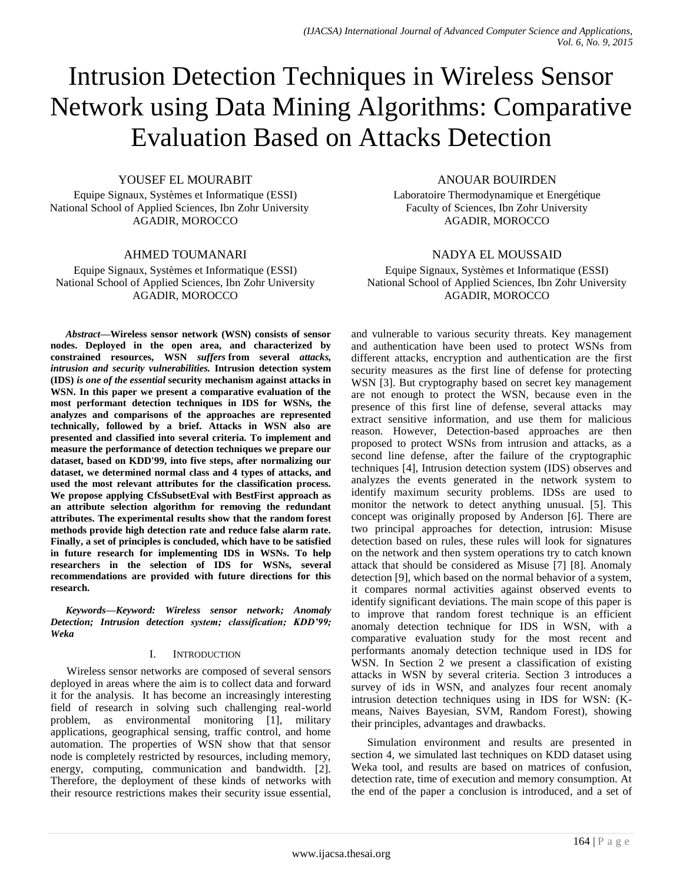# Intrusion Detection Techniques in Wireless Sensor Network using Data Mining Algorithms: Comparative Evaluation Based on Attacks Detection

## YOUSEF EL MOURABIT

Equipe Signaux, Systèmes et Informatique (ESSI) National School of Applied Sciences, Ibn Zohr University AGADIR, MOROCCO

## AHMED TOUMANARI

Equipe Signaux, Systèmes et Informatique (ESSI) National School of Applied Sciences, Ibn Zohr University AGADIR, MOROCCO

*Abstract***—Wireless sensor network (WSN) consists of sensor nodes. Deployed in the open area, and characterized by constrained resources, WSN** *suffers* **from several** *attacks, intrusion and security vulnerabilities.* **Intrusion detection system (IDS)** *is one of the essential* **security mechanism against attacks in WSN. In this paper we present a comparative evaluation of the most performant detection techniques in IDS for WSNs, the analyzes and comparisons of the approaches are represented technically, followed by a brief. Attacks in WSN also are presented and classified into several criteria. To implement and measure the performance of detection techniques we prepare our dataset, based on KDD'99, into five steps, after normalizing our dataset, we determined normal class and 4 types of attacks, and used the most relevant attributes for the classification process. We propose applying CfsSubsetEval with BestFirst approach as an attribute selection algorithm for removing the redundant attributes. The experimental results show that the random forest methods provide high detection rate and reduce false alarm rate. Finally, a set of principles is concluded, which have to be satisfied in future research for implementing IDS in WSNs. To help researchers in the selection of IDS for WSNs, several recommendations are provided with future directions for this research.**

*Keywords—Keyword: Wireless sensor network; Anomaly Detection; Intrusion detection system; classification; KDD'99; Weka*

#### I. INTRODUCTION

Wireless sensor networks are composed of several sensors deployed in areas where the aim is to collect data and forward it for the analysis. It has become an increasingly interesting field of research in solving such challenging real-world problem, as environmental monitoring [1], military applications, geographical sensing, traffic control, and home automation. The properties of WSN show that that sensor node is completely restricted by resources, including memory, energy, computing, communication and bandwidth. [2]. Therefore, the deployment of these kinds of networks with their resource restrictions makes their security issue essential,

## ANOUAR BOUIRDEN

Laboratoire Thermodynamique et Energétique Faculty of Sciences, Ibn Zohr University AGADIR, MOROCCO

# NADYA EL MOUSSAID

Equipe Signaux, Systèmes et Informatique (ESSI) National School of Applied Sciences, Ibn Zohr University AGADIR, MOROCCO

and vulnerable to various security threats. Key management and authentication have been used to protect WSNs from different attacks, encryption and authentication are the first security measures as the first line of defense for protecting WSN [3]. But cryptography based on secret key management are not enough to protect the WSN, because even in the presence of this first line of defense, several attacks may extract sensitive information, and use them for malicious reason. However, Detection-based approaches are then proposed to protect WSNs from intrusion and attacks, as a second line defense, after the failure of the cryptographic techniques [4], Intrusion detection system (IDS) observes and analyzes the events generated in the network system to identify maximum security problems. IDSs are used to monitor the network to detect anything unusual. [5]. This concept was originally proposed by Anderson [6]. There are two principal approaches for detection, intrusion: Misuse detection based on rules, these rules will look for signatures on the network and then system operations try to catch known attack that should be considered as Misuse [7] [8]. Anomaly detection [9], which based on the normal behavior of a system, it compares normal activities against observed events to identify significant deviations. The main scope of this paper is to improve that random forest technique is an efficient anomaly detection technique for IDS in WSN, with a comparative evaluation study for the most recent and performants anomaly detection technique used in IDS for WSN. In Section 2 we present a classification of existing attacks in WSN by several criteria. Section 3 introduces a survey of ids in WSN, and analyzes four recent anomaly intrusion detection techniques using in IDS for WSN: (Kmeans, Naives Bayesian, SVM, Random Forest), showing their principles, advantages and drawbacks.

Simulation environment and results are presented in section 4, we simulated last techniques on KDD dataset using Weka tool, and results are based on matrices of confusion, detection rate, time of execution and memory consumption. At the end of the paper a conclusion is introduced, and a set of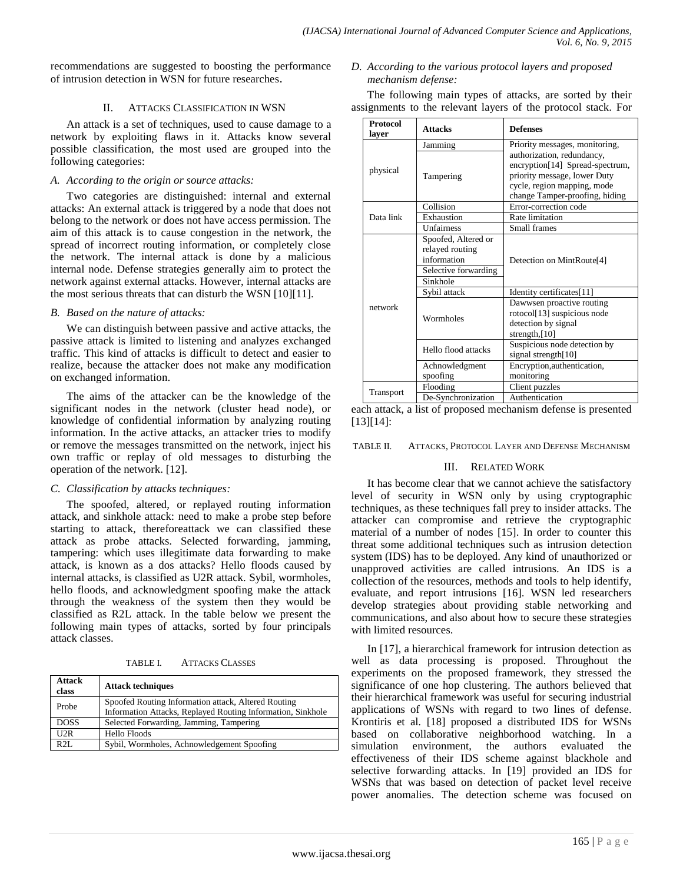recommendations are suggested to boosting the performance of intrusion detection in WSN for future researches.

## II. ATTACKS CLASSIFICATION IN WSN

An attack is a set of techniques, used to cause damage to a network by exploiting flaws in it. Attacks know several possible classification, the most used are grouped into the following categories:

## *A. According to the origin or source attacks:*

Two categories are distinguished: internal and external attacks: An external attack is triggered by a node that does not belong to the network or does not have access permission. The aim of this attack is to cause congestion in the network, the spread of incorrect routing information, or completely close the network. The internal attack is done by a malicious internal node. Defense strategies generally aim to protect the network against external attacks. However, internal attacks are the most serious threats that can disturb the WSN [10][11].

# *B. Based on the nature of attacks:*

We can distinguish between passive and active attacks, the passive attack is limited to listening and analyzes exchanged traffic. This kind of attacks is difficult to detect and easier to realize, because the attacker does not make any modification on exchanged information.

The aims of the attacker can be the knowledge of the significant nodes in the network (cluster head node), or knowledge of confidential information by analyzing routing information. In the active attacks, an attacker tries to modify or remove the messages transmitted on the network, inject his own traffic or replay of old messages to disturbing the operation of the network. [12].

# *C. Classification by attacks techniques:*

The spoofed, altered, or replayed routing information attack, and sinkhole attack: need to make a probe step before starting to attack, thereforeattack we can classified these attack as probe attacks. Selected forwarding, jamming, tampering: which uses illegitimate data forwarding to make attack, is known as a dos attacks? Hello floods caused by internal attacks, is classified as U2R attack. Sybil, wormholes, hello floods, and acknowledgment spoofing make the attack through the weakness of the system then they would be classified as R2L attack. In the table below we present the following main types of attacks, sorted by four principals attack classes.

|  | TABLE I. | <b>ATTACKS CLASSES</b> |
|--|----------|------------------------|
|--|----------|------------------------|

| <b>Attack</b><br>class | <b>Attack techniques</b>                                                                                           |
|------------------------|--------------------------------------------------------------------------------------------------------------------|
| Probe                  | Spoofed Routing Information attack, Altered Routing<br>Information Attacks, Replayed Routing Information, Sinkhole |
| <b>DOSS</b>            | Selected Forwarding, Jamming, Tampering                                                                            |
| U2R                    | <b>Hello Floods</b>                                                                                                |
| R2L                    | Sybil, Wormholes, Achnowledgement Spoofing                                                                         |

# *D. According to the various protocol layers and proposed mechanism defense:*

The following main types of attacks, are sorted by their assignments to the relevant layers of the protocol stack. For

| <b>Protocol</b><br>layer | <b>Attacks</b>                                                                            | <b>Defenses</b>                                                                                                                                                                                  |  |  |  |  |
|--------------------------|-------------------------------------------------------------------------------------------|--------------------------------------------------------------------------------------------------------------------------------------------------------------------------------------------------|--|--|--|--|
|                          | Jamming                                                                                   | Priority messages, monitoring,<br>authorization, redundancy,<br>encryption[14] Spread-spectrum,<br>priority message, lower Duty<br>cycle, region mapping, mode<br>change Tamper-proofing, hiding |  |  |  |  |
| physical                 | Tampering                                                                                 |                                                                                                                                                                                                  |  |  |  |  |
|                          | Collision                                                                                 | Error-correction code                                                                                                                                                                            |  |  |  |  |
| Data link                | Exhaustion                                                                                | Rate limitation                                                                                                                                                                                  |  |  |  |  |
|                          | <b>Unfairness</b>                                                                         | Small frames                                                                                                                                                                                     |  |  |  |  |
|                          | Spoofed, Altered or<br>relayed routing<br>information<br>Selective forwarding<br>Sinkhole | Detection on MintRoute[4]                                                                                                                                                                        |  |  |  |  |
|                          | Sybil attack                                                                              | Identity certificates[11]                                                                                                                                                                        |  |  |  |  |
| network                  | Wormholes                                                                                 | Dawwsen proactive routing<br>rotocol[13] suspicious node<br>detection by signal<br>strength, $[10]$                                                                                              |  |  |  |  |
|                          | Hello flood attacks                                                                       | Suspicious node detection by<br>signal strength[10]                                                                                                                                              |  |  |  |  |
|                          | Achnowledgment<br>spoofing                                                                | Encryption, authentication,<br>monitoring                                                                                                                                                        |  |  |  |  |
|                          | Flooding                                                                                  | Client puzzles                                                                                                                                                                                   |  |  |  |  |
| Transport                | De-Synchronization                                                                        | Authentication                                                                                                                                                                                   |  |  |  |  |

each attack, a list of proposed mechanism defense is presented [13][14]:

TABLE II. ATTACKS, PROTOCOL LAYER AND DEFENSE MECHANISM

# III. RELATED WORK

It has become clear that we cannot achieve the satisfactory level of security in WSN only by using cryptographic techniques, as these techniques fall prey to insider attacks. The attacker can compromise and retrieve the cryptographic material of a number of nodes [15]. In order to counter this threat some additional techniques such as intrusion detection system (IDS) has to be deployed. Any kind of unauthorized or unapproved activities are called intrusions. An IDS is a collection of the resources, methods and tools to help identify, evaluate, and report intrusions [16]. WSN led researchers develop strategies about providing stable networking and communications, and also about how to secure these strategies with limited resources.

In [17], a hierarchical framework for intrusion detection as well as data processing is proposed. Throughout the experiments on the proposed framework, they stressed the significance of one hop clustering. The authors believed that their hierarchical framework was useful for securing industrial applications of WSNs with regard to two lines of defense. Krontiris et al*.* [18] proposed a distributed IDS for WSNs based on collaborative neighborhood watching. In a simulation environment, the authors evaluated the effectiveness of their IDS scheme against blackhole and selective forwarding attacks. In [19] provided an IDS for WSNs that was based on detection of packet level receive power anomalies. The detection scheme was focused on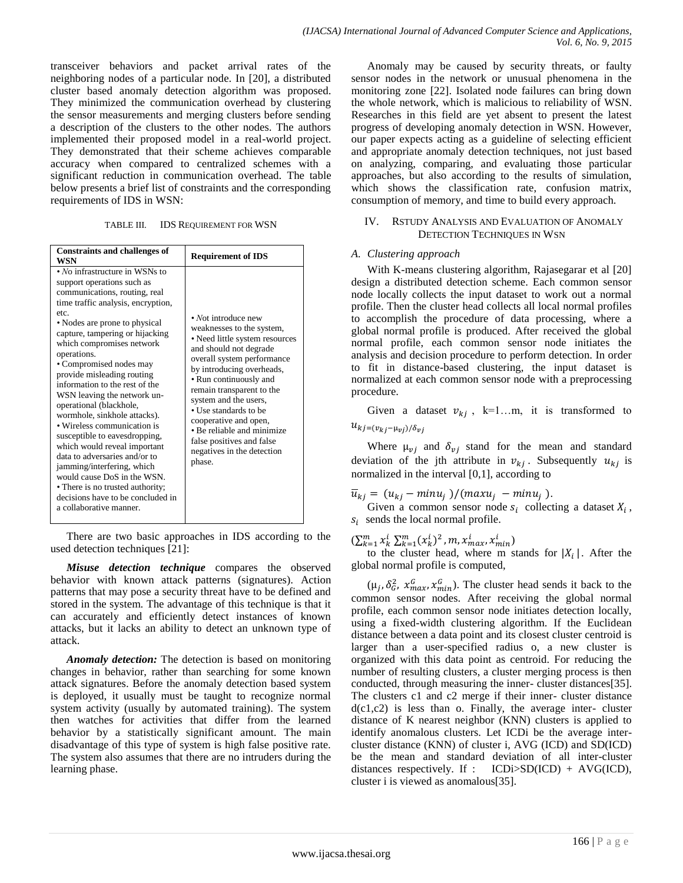transceiver behaviors and packet arrival rates of the neighboring nodes of a particular node. In [20], a distributed cluster based anomaly detection algorithm was proposed. They minimized the communication overhead by clustering the sensor measurements and merging clusters before sending a description of the clusters to the other nodes. The authors implemented their proposed model in a real-world project. They demonstrated that their scheme achieves comparable accuracy when compared to centralized schemes with a significant reduction in communication overhead. The table below presents a brief list of constraints and the corresponding requirements of IDS in WSN:

| TABLE III. | <b>IDS REQUIREMENT FOR WSN</b> |  |
|------------|--------------------------------|--|
|------------|--------------------------------|--|

| <b>Constraints and challenges of</b><br>WSN                                                                                                                                                                                                                                                                                                                                                                                                                                                                                                                                                                                                                                                                                                                | <b>Requirement of IDS</b>                                                                                                                                                                                                                                                                                                                                                                                    |
|------------------------------------------------------------------------------------------------------------------------------------------------------------------------------------------------------------------------------------------------------------------------------------------------------------------------------------------------------------------------------------------------------------------------------------------------------------------------------------------------------------------------------------------------------------------------------------------------------------------------------------------------------------------------------------------------------------------------------------------------------------|--------------------------------------------------------------------------------------------------------------------------------------------------------------------------------------------------------------------------------------------------------------------------------------------------------------------------------------------------------------------------------------------------------------|
| $\bullet$ No infrastructure in WSNs to<br>support operations such as<br>communications, routing, real<br>time traffic analysis, encryption,<br>etc.<br>• Nodes are prone to physical<br>capture, tampering or hijacking<br>which compromises network<br>operations.<br>• Compromised nodes may<br>provide misleading routing<br>information to the rest of the<br>WSN leaving the network un-<br>operational (blackhole,<br>wormhole, sinkhole attacks).<br>• Wireless communication is<br>susceptible to eavesdropping,<br>which would reveal important<br>data to adversaries and/or to<br>jamming/interfering, which<br>would cause DoS in the WSN.<br>• There is no trusted authority;<br>decisions have to be concluded in<br>a collaborative manner. | • Not introduce new<br>weaknesses to the system,<br>• Need little system resources<br>and should not degrade<br>overall system performance<br>by introducing overheads,<br>• Run continuously and<br>remain transparent to the<br>system and the users,<br>• Use standards to be<br>cooperative and open,<br>• Be reliable and minimize<br>false positives and false<br>negatives in the detection<br>phase. |

There are two basic approaches in IDS according to the used detection techniques [21]:

*Misuse detection technique* compares the observed behavior with known attack patterns (signatures). Action patterns that may pose a security threat have to be defined and stored in the system. The advantage of this technique is that it can accurately and efficiently detect instances of known attacks, but it lacks an ability to detect an unknown type of attack.

*Anomaly detection:* The detection is based on monitoring changes in behavior, rather than searching for some known attack signatures. Before the anomaly detection based system is deployed, it usually must be taught to recognize normal system activity (usually by automated training). The system then watches for activities that differ from the learned behavior by a statistically significant amount. The main disadvantage of this type of system is high false positive rate. The system also assumes that there are no intruders during the learning phase.

Anomaly may be caused by security threats, or faulty sensor nodes in the network or unusual phenomena in the monitoring zone [22]. Isolated node failures can bring down the whole network, which is malicious to reliability of WSN. Researches in this field are yet absent to present the latest progress of developing anomaly detection in WSN. However, our paper expects acting as a guideline of selecting efficient and appropriate anomaly detection techniques, not just based on analyzing, comparing, and evaluating those particular approaches, but also according to the results of simulation, which shows the classification rate, confusion matrix, consumption of memory, and time to build every approach.

## IV. RSTUDY ANALYSIS AND EVALUATION OF ANOMALY DETECTION TECHNIQUES IN WSN

#### *A. Clustering approach*

With K-means clustering algorithm, Rajasegarar et al [20] design a distributed detection scheme. Each common sensor node locally collects the input dataset to work out a normal profile. Then the cluster head collects all local normal profiles to accomplish the procedure of data processing, where a global normal profile is produced. After received the global normal profile, each common sensor node initiates the analysis and decision procedure to perform detection. In order to fit in distance-based clustering, the input dataset is normalized at each common sensor node with a preprocessing procedure.

Given a dataset  $v_{ki}$ , k=1...m, it is transformed to  $u_{kj=(v_{kj}-\mu_{vj})/\delta_{vj}}$ 

Where  $\mu_{vj}$  and  $\delta_{vj}$  stand for the mean and standard deviation of the jth attribute in  $v_{ki}$ . Subsequently  $u_{ki}$  is normalized in the interval [0,1], according to

 $\overline{u}_{kj} = (u_{kj} - minu_j) / (maxu_j - minu_j)$ .

Given a common sensor node  $s_i$  collecting a dataset  $X_i$ ,  $s_i$  sends the local normal profile.

 $(\sum_{k=1}^m x_k^i \sum_{k=1}^m (x_k^i)^2$  ,  $m, x_{max}^i, x_{min}^i)$ 

to the cluster head, where m stands for  $|X_i|$ . After the global normal profile is computed,

 $(\mu_i, \delta_G^2, x_{max}^G, x_{min}^G)$ . The cluster head sends it back to the common sensor nodes. After receiving the global normal profile, each common sensor node initiates detection locally, using a fixed-width clustering algorithm. If the Euclidean distance between a data point and its closest cluster centroid is larger than a user-specified radius o, a new cluster is organized with this data point as centroid. For reducing the number of resulting clusters, a cluster merging process is then conducted, through measuring the inner- cluster distances[35]. The clusters c1 and c2 merge if their inner- cluster distance  $d(c1,c2)$  is less than o. Finally, the average inter- cluster distance of K nearest neighbor (KNN) clusters is applied to identify anomalous clusters. Let ICDi be the average intercluster distance (KNN) of cluster i, AVG (ICD) and SD(ICD) be the mean and standard deviation of all inter-cluster distances respectively. If : ICDi>SD(ICD) + AVG(ICD), cluster i is viewed as anomalous[35].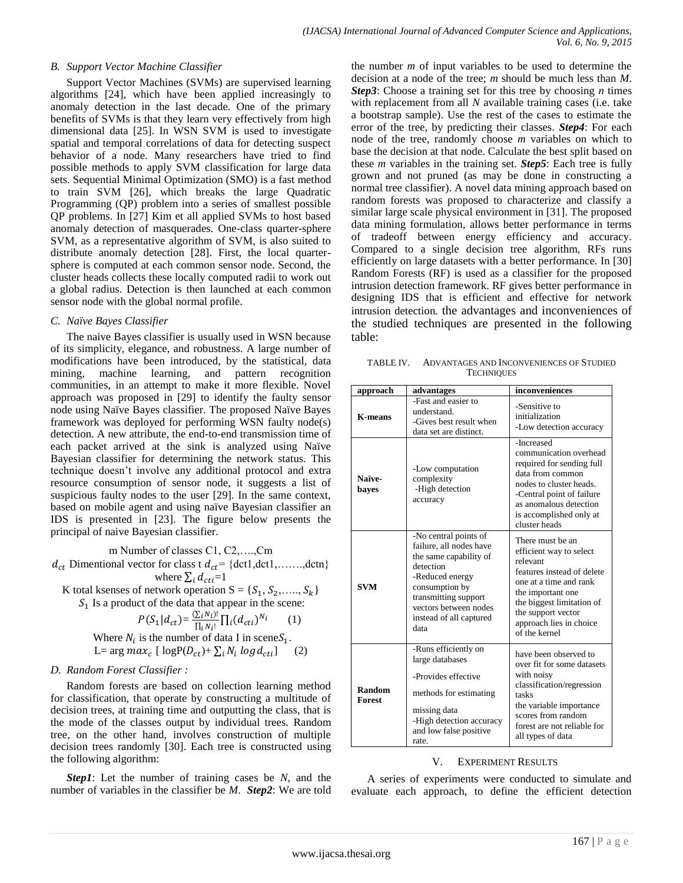#### *B. Support Vector Machine Classifier*

Support Vector Machines (SVMs) are supervised learning algorithms [24], which have been applied increasingly to anomaly detection in the last decade. One of the primary benefits of SVMs is that they learn very effectively from high dimensional data [25]. In WSN SVM is used to investigate spatial and temporal correlations of data for detecting suspect behavior of a node. Many researchers have tried to find possible methods to apply SVM classification for large data sets. Sequential Minimal Optimization (SMO) is a fast method to train SVM [26], which breaks the large Quadratic Programming (QP) problem into a series of smallest possible QP problems. In [27] Kim et all applied SVMs to host based anomaly detection of masquerades. One-class quarter-sphere SVM, as a representative algorithm of SVM, is also suited to distribute anomaly detection [28]. First, the local quartersphere is computed at each common sensor node. Second, the cluster heads collects these locally computed radii to work out a global radius. Detection is then launched at each common sensor node with the global normal profile.

#### *C. Naïve Bayes Classifier*

The naive Bayes classifier is usually used in WSN because of its simplicity, elegance, and robustness. A large number of modifications have been introduced, by the statistical, data mining, machine learning, and pattern recognition communities, in an attempt to make it more flexible. Novel approach was proposed in [29] to identify the faulty sensor node using Naïve Bayes classifier. The proposed Naïve Bayes framework was deployed for performing WSN faulty node(s) detection. A new attribute, the end-to-end transmission time of each packet arrived at the sink is analyzed using Naïve Bayesian classifier for determining the network status. This technique doesn't involve any additional protocol and extra resource consumption of sensor node, it suggests a list of suspicious faulty nodes to the user [29]. In the same context, based on mobile agent and using naïve Bayesian classifier an IDS is presented in [23]. The figure below presents the principal of naive Bayesian classifier.

m Number of classes C1, C2,….,Cm  $d_{ct}$  Dimentional vector for class t  $d_{ct}$  = {dct1,dct1,......,dctn} where  $\sum_i d_{cti} = 1$ 

K total ksenses of network operation  $S = \{S_1, S_2, \ldots, S_k\}$  $S<sub>1</sub>$  Is a product of the data that appear in the scene:

$$
P(S_1|d_{ct}) = \frac{\sum_i N_i}{\prod_i N_i!} \prod_i (d_{cti})^{N_i} \tag{1}
$$
  
Where  $N_i$  is the number of data I in scene $S_1$ .  
L= arg max<sub>c</sub> [logP( $D_{ct}$ )+  $\sum_i N_i log d_{cti}$ ] \tag{2}

### *D. Random Forest Classifier :*

Random forests are based on collection learning method for classification, that operate by constructing a multitude of decision trees, at training time and outputting the class, that is the mode of the classes output by individual trees. Random tree, on the other hand, involves construction of multiple decision trees randomly [30]. Each tree is constructed using the following algorithm:

*Step1*: Let the number of training cases be *N*, and the number of variables in the classifier be *M*. *Step2*: We are told

the number *m* of input variables to be used to determine the decision at a node of the tree; *m* should be much less than *M*. *Step3*: Choose a training set for this tree by choosing *n* times with replacement from all *N* available training cases (i.e. take a bootstrap sample). Use the rest of the cases to estimate the error of the tree, by predicting their classes. *Step4*: For each node of the tree, randomly choose *m* variables on which to base the decision at that node. Calculate the best split based on these *m* variables in the training set. *Step5*: Each tree is fully grown and not pruned (as may be done in constructing a normal tree classifier). A novel data mining approach based on random forests was proposed to characterize and classify a similar large scale physical environment in [31]. The proposed data mining formulation, allows better performance in terms of tradeoff between energy efficiency and accuracy. Compared to a single decision tree algorithm, RFs runs efficiently on large datasets with a better performance. In [30] Random Forests (RF) is used as a classifier for the proposed intrusion detection framework. RF gives better performance in designing IDS that is efficient and effective for network intrusion detection. the advantages and inconveniences of the studied techniques are presented in the following table:

TABLE IV. ADVANTAGES AND INCONVENIENCES OF STUDIED **TECHNIQUES** 

| approach                | advantages                                                                                                                                                                                                       | inconveniences                                                                                                                                                                                                                      |  |  |  |  |
|-------------------------|------------------------------------------------------------------------------------------------------------------------------------------------------------------------------------------------------------------|-------------------------------------------------------------------------------------------------------------------------------------------------------------------------------------------------------------------------------------|--|--|--|--|
| <b>K-means</b>          | -Fast and easier to<br>understand.<br>-Gives best result when<br>data set are distinct.                                                                                                                          | -Sensitive to<br>initialization<br>-Low detection accuracy                                                                                                                                                                          |  |  |  |  |
| Naïve-<br>bayes         | -Low computation<br>complexity<br>-High detection<br>accuracy                                                                                                                                                    | -Increased<br>communication overhead<br>required for sending full<br>data from common<br>nodes to cluster heads.<br>-Central point of failure<br>as anomalous detection<br>is accomplished only at<br>cluster heads                 |  |  |  |  |
| <b>SVM</b>              | -No central points of<br>failure, all nodes have<br>the same capability of<br>detection<br>-Reduced energy<br>consumption by<br>transmitting support<br>vectors between nodes<br>instead of all captured<br>data | There must be an<br>efficient way to select<br>relevant<br>features instead of delete<br>one at a time and rank<br>the important one<br>the biggest limitation of<br>the support vector<br>approach lies in choice<br>of the kernel |  |  |  |  |
| Random<br><b>Forest</b> | -Runs efficiently on<br>large databases<br>-Provides effective<br>methods for estimating<br>missing data<br>-High detection accuracy<br>and low false positive<br>rate.                                          | have been observed to<br>over fit for some datasets<br>with noisy<br>classification/regression<br>tasks<br>the variable importance<br>scores from random<br>forest are not reliable for<br>all types of data                        |  |  |  |  |

### V. EXPERIMENT RESULTS

A series of experiments were conducted to simulate and evaluate each approach, to define the efficient detection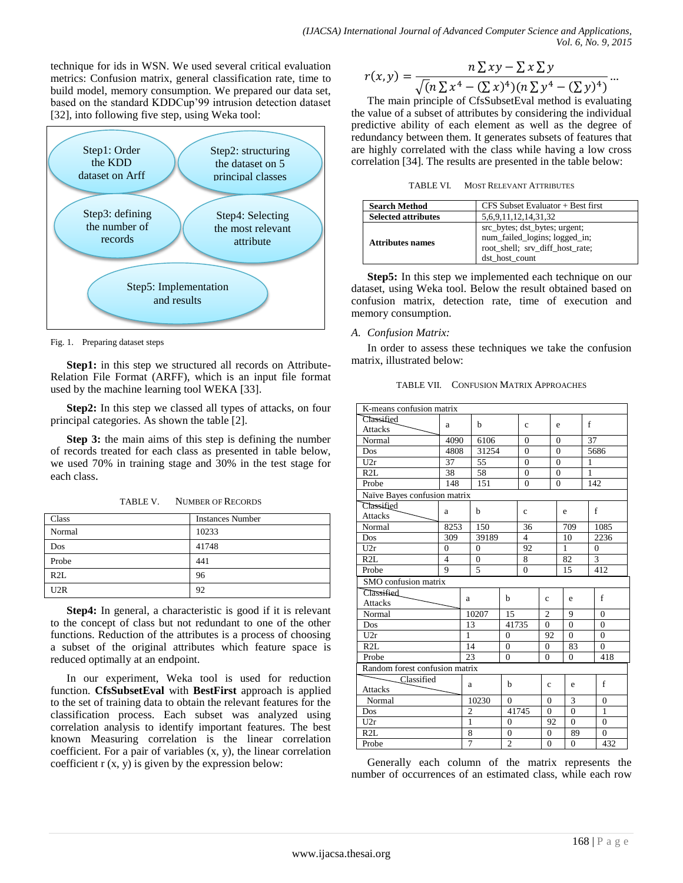technique for ids in WSN. We used several critical evaluation metrics: Confusion matrix, general classification rate, time to build model, memory consumption. We prepared our data set, based on the standard KDDCup'99 intrusion detection dataset [32], into following five step, using Weka tool:



Fig. 1. Preparing dataset steps

**Step1:** in this step we structured all records on Attribute-Relation File Format (ARFF), which is an input file format used by the machine learning tool WEKA [33].

**Step2:** In this step we classed all types of attacks, on four principal categories. As shown the table [2].

**Step 3:** the main aims of this step is defining the number of records treated for each class as presented in table below, we used 70% in training stage and 30% in the test stage for each class.

TABLE V. NUMBER OF RECORDS

| Class  | <b>Instances Number</b> |
|--------|-------------------------|
| Normal | 10233                   |
| Dos    | 41748                   |
| Probe  | 441                     |
| R2L    | 96                      |
| U2R    | 92                      |

**Step4:** In general, a characteristic is good if it is relevant to the concept of class but not redundant to one of the other functions. Reduction of the attributes is a process of choosing a subset of the original attributes which feature space is reduced optimally at an endpoint.

In our experiment, Weka tool is used for reduction function. **CfsSubsetEval** with **BestFirst** approach is applied to the set of training data to obtain the relevant features for the classification process. Each subset was analyzed using correlation analysis to identify important features. The best known Measuring correlation is the linear correlation coefficient. For a pair of variables (x, y), the linear correlation coefficient  $r(x, y)$  is given by the expression below:

$$
r(x,y) = \frac{n \sum xy - \sum x \sum y}{\sqrt{(n \sum x^4 - (\sum x)^4)(n \sum y^4 - (\sum y)^4)}} \dots
$$

The main principle of CfsSubsetEval method is evaluating the value of a subset of attributes by considering the individual predictive ability of each element as well as the degree of redundancy between them. It generates subsets of features that are highly correlated with the class while having a low cross correlation [34]. The results are presented in the table below:

TABLE VI. MOST RELEVANT ATTRIBUTES

| <b>Search Method</b>       | CFS Subset Evaluator + Best first                                                                                   |
|----------------------------|---------------------------------------------------------------------------------------------------------------------|
| <b>Selected attributes</b> | 5,6,9,11,12,14,31,32                                                                                                |
| Attributes names           | src_bytes; dst_bytes; urgent;<br>num_failed_logins; logged_in;<br>root_shell; srv_diff_host_rate;<br>dst host count |

**Step5:** In this step we implemented each technique on our dataset, using Weka tool. Below the result obtained based on confusion matrix, detection rate, time of execution and memory consumption.

# *A. Confusion Matrix:*

In order to assess these techniques we take the confusion matrix, illustrated below:

TABLE VII. CONFUSION MATRIX APPROACHES

| K-means confusion matrix       |                |                |                |                |                |                |                |              |                |  |
|--------------------------------|----------------|----------------|----------------|----------------|----------------|----------------|----------------|--------------|----------------|--|
| Classified                     |                |                |                |                |                |                |                | f            |                |  |
| <b>Attacks</b>                 | a              | h              |                |                | Ċ              |                | e              |              |                |  |
| Normal                         | 4090           |                | 6106           |                | $\Omega$       |                | $\Omega$       | 37           |                |  |
| <b>Dos</b>                     | 4808           |                | 31254          |                | $\theta$       |                | $\theta$       |              | 5686           |  |
| U2r                            | 37             |                | 55             |                | $\overline{0}$ |                | $\overline{0}$ | 1            |                |  |
| R2L                            | 38             |                | 58             |                | $\theta$       |                | $\Omega$       | 1            |                |  |
| Probe                          | 148            |                | 151            |                | $\theta$       |                | $\theta$       |              | 142            |  |
| Naïve Bayes confusion matrix   |                |                |                |                |                |                |                |              |                |  |
| Classified                     |                |                | h              |                |                |                |                |              | f              |  |
| <b>Attacks</b>                 | a              |                |                |                | $\mathbf c$    |                | e              |              |                |  |
| Normal                         | 8253           |                | 150            |                | 36             |                | 709            |              | 1085           |  |
| Dos                            | 309            |                | 39189          |                | $\overline{4}$ |                | 10             |              | 2236           |  |
| U2r                            | $\theta$       |                | $\Omega$       |                | 92             |                | 1              |              | $\mathbf{0}$   |  |
| R2L                            | $\overline{4}$ |                | $\theta$       |                | 8              |                | 82             |              | 3              |  |
| Probe                          | 9              | 5              |                |                | $\overline{0}$ |                | 15             | 412          |                |  |
| SMO confusion matrix           |                |                |                |                |                |                |                |              |                |  |
| Classified                     |                |                |                | b              |                |                |                |              | $\mathbf f$    |  |
| <b>Attacks</b>                 |                | a              |                |                |                | $\mathbf c$    | e              |              |                |  |
| Normal                         |                |                | 10207          | 15             |                | $\overline{c}$ | 9              |              | $\Omega$       |  |
| Dos                            |                |                | 13             | 41735          |                | $\overline{0}$ | $\theta$       |              | $\theta$       |  |
| U2r                            |                | 1              |                | $\overline{0}$ |                | 92             | $\theta$       |              | $\theta$       |  |
| R2L                            |                |                | 14             | $\mathbf{0}$   |                | $\overline{0}$ | 83             |              | $\Omega$       |  |
| Probe                          |                |                | 23<br>$\Omega$ |                | $\theta$       |                | $\Omega$       |              | 418            |  |
| Random forest confusion matrix |                |                |                |                |                |                |                |              |                |  |
| Classified                     |                |                | a              | h              |                | c              | e              |              | f              |  |
| Attacks                        |                |                |                |                |                |                |                |              |                |  |
| Normal                         |                | 10230          | $\Omega$       |                | $\theta$       | 3              |                | $\theta$     |                |  |
| Dos                            | $\overline{2}$ |                | 41745          |                | $\theta$       | $\overline{0}$ |                | $\mathbf{1}$ |                |  |
| U2r                            | 1              |                |                | $\overline{0}$ |                | 92             | $\overline{0}$ |              | $\overline{0}$ |  |
| R2L                            |                | 8              | $\overline{0}$ |                |                | $\overline{0}$ | 89             |              | $\overline{0}$ |  |
| Probe                          |                | $\overline{7}$ |                | $\overline{2}$ |                | $\Omega$       | $\theta$       |              | 432            |  |

Generally each column of the matrix represents the number of occurrences of an estimated class, while each row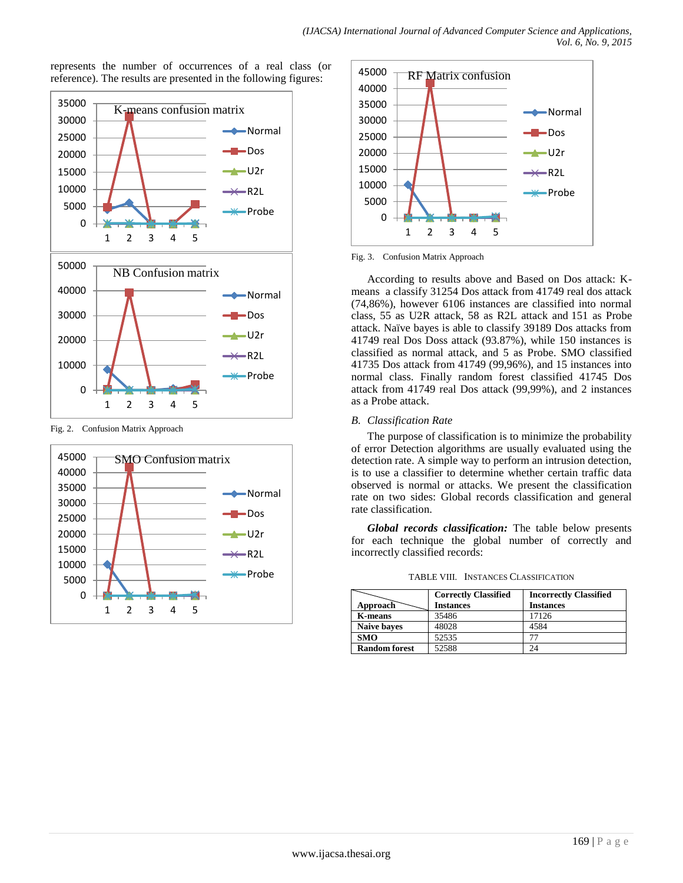represents the number of occurrences of a real class (or reference). The results are presented in the following figures:



Fig. 2. Confusion Matrix Approach





Fig. 3. Confusion Matrix Approach

According to results above and Based on Dos attack: Kmeans a classify 31254 Dos attack from 41749 real dos attack (74,86%), however 6106 instances are classified into normal class, 55 as U2R attack, 58 as R2L attack and 151 as Probe attack. Naïve bayes is able to classify 39189 Dos attacks from 41749 real Dos Doss attack (93.87%), while 150 instances is classified as normal attack, and 5 as Probe. SMO classified 41735 Dos attack from 41749 (99,96%), and 15 instances into normal class. Finally random forest classified 41745 Dos attack from 41749 real Dos attack (99,99%), and 2 instances as a Probe attack.

#### *B. Classification Rate*

The purpose of classification is to minimize the probability of error Detection algorithms are usually evaluated using the detection rate. A simple way to perform an intrusion detection, is to use a classifier to determine whether certain traffic data observed is normal or attacks. We present the classification rate on two sides: Global records classification and general rate classification.

*Global records classification:* The table below presents for each technique the global number of correctly and incorrectly classified records:

TABLE VIII. INSTANCES CLASSIFICATION

|                      | <b>Correctly Classified</b> | <b>Incorrectly Classified</b> |  |  |  |  |  |
|----------------------|-----------------------------|-------------------------------|--|--|--|--|--|
| Approach             | <b>Instances</b>            | <b>Instances</b>              |  |  |  |  |  |
| <b>K-means</b>       | 35486                       | 17126                         |  |  |  |  |  |
| <b>Naive baves</b>   | 48028                       | 4584                          |  |  |  |  |  |
| <b>SMO</b>           | 52535                       |                               |  |  |  |  |  |
| <b>Random forest</b> | 52588                       | 24                            |  |  |  |  |  |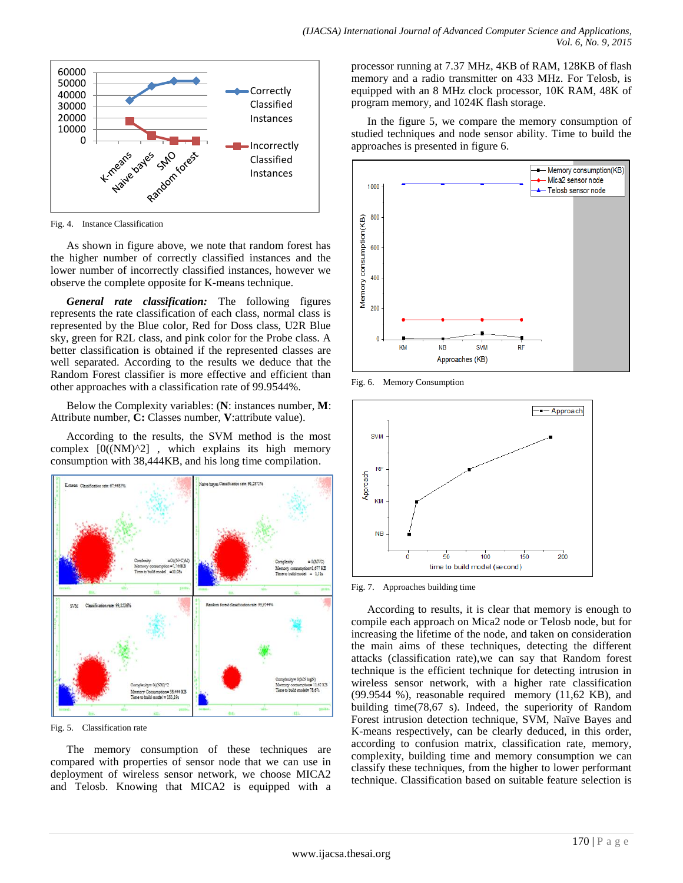

Fig. 4. Instance Classification

As shown in figure above, we note that random forest has the higher number of correctly classified instances and the lower number of incorrectly classified instances, however we observe the complete opposite for K-means technique.

*General rate classification:* The following figures represents the rate classification of each class, normal class is represented by the Blue color, Red for Doss class, U2R Blue sky, green for R2L class, and pink color for the Probe class. A better classification is obtained if the represented classes are well separated. According to the results we deduce that the Random Forest classifier is more effective and efficient than other approaches with a classification rate of 99.9544%.

Below the Complexity variables: (**N**: instances number, **M**: Attribute number, **C:** Classes number, **V**:attribute value).

According to the results, the SVM method is the most complex  $[0((NM)^2)]$ , which explains its high memory consumption with 38,444KB, and his long time compilation.



Fig. 5. Classification rate

The memory consumption of these techniques are compared with properties of sensor node that we can use in deployment of wireless sensor network, we choose MICA2 and Telosb. Knowing that MICA2 is equipped with a processor running at 7.37 MHz, 4KB of RAM, 128KB of flash memory and a radio transmitter on 433 MHz. For Telosb, is equipped with an 8 MHz clock processor, 10K RAM, 48K of program memory, and 1024K flash storage.

In the figure 5, we compare the memory consumption of studied techniques and node sensor ability. Time to build the approaches is presented in figure 6.



Fig. 6. Memory Consumption



Fig. 7. Approaches building time

According to results, it is clear that memory is enough to compile each approach on Mica2 node or Telosb node, but for increasing the lifetime of the node, and taken on consideration the main aims of these techniques, detecting the different attacks (classification rate),we can say that Random forest technique is the efficient technique for detecting intrusion in wireless sensor network, with a higher rate classification (99.9544 %), reasonable required memory (11,62 KB), and building time(78,67 s). Indeed, the superiority of Random Forest intrusion detection technique, SVM, Naïve Bayes and K-means respectively, can be clearly deduced, in this order, according to confusion matrix, classification rate, memory, complexity, building time and memory consumption we can classify these techniques, from the higher to lower performant technique. Classification based on suitable feature selection is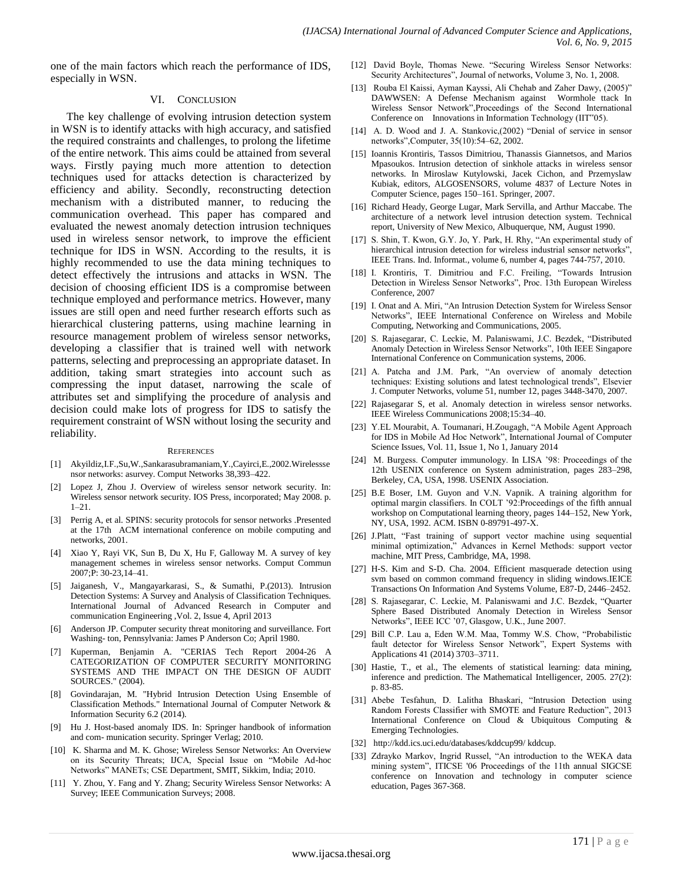one of the main factors which reach the performance of IDS, especially in WSN.

#### VI. CONCLUSION

The key challenge of evolving intrusion detection system in WSN is to identify attacks with high accuracy, and satisfied the required constraints and challenges, to prolong the lifetime of the entire network. This aims could be attained from several ways. Firstly paying much more attention to detection techniques used for attacks detection is characterized by efficiency and ability. Secondly, reconstructing detection mechanism with a distributed manner, to reducing the communication overhead. This paper has compared and evaluated the newest anomaly detection intrusion techniques used in wireless sensor network, to improve the efficient technique for IDS in WSN. According to the results, it is highly recommended to use the data mining techniques to detect effectively the intrusions and attacks in WSN. The decision of choosing efficient IDS is a compromise between technique employed and performance metrics. However, many issues are still open and need further research efforts such as hierarchical clustering patterns, using machine learning in resource management problem of wireless sensor networks, developing a classifier that is trained well with network patterns, selecting and preprocessing an appropriate dataset. In addition, taking smart strategies into account such as compressing the input dataset, narrowing the scale of attributes set and simplifying the procedure of analysis and decision could make lots of progress for IDS to satisfy the requirement constraint of WSN without losing the security and reliability.

#### **REFERENCES**

- [1] Akyildiz,I.F.,Su,W.,Sankarasubramaniam,Y.,Cayirci,E.,2002.Wirelessse nsor networks: asurvey. Comput Networks 38,393–422.
- [2] Lopez J, Zhou J. Overview of wireless sensor network security. In: Wireless sensor network security. IOS Press, incorporated; May 2008. p.  $1 - 21$ .
- [3] Perrig A, et al. SPINS: security protocols for sensor networks .Presented at the 17th ACM international conference on mobile computing and networks, 2001.
- [4] Xiao Y, Rayi VK, Sun B, Du X, Hu F, Galloway M. A survey of key management schemes in wireless sensor networks. Comput Commun 2007;P: 30-23,14–41.
- [5] Jaiganesh, V., Mangayarkarasi, S., & Sumathi, P.(2013). Intrusion Detection Systems: A Survey and Analysis of Classification Techniques. International Journal of Advanced Research in Computer and communication Engineering ,Vol. 2, Issue 4, April 2013
- [6] Anderson JP. Computer security threat monitoring and surveillance. Fort Washing- ton, Pennsylvania: James P Anderson Co; April 1980.
- [7] Kuperman, Benjamin A. "CERIAS Tech Report 2004-26 A CATEGORIZATION OF COMPUTER SECURITY MONITORING SYSTEMS AND THE IMPACT ON THE DESIGN OF AUDIT SOURCES." (2004).
- [8] Govindarajan, M. "Hybrid Intrusion Detection Using Ensemble of Classification Methods." International Journal of Computer Network & Information Security 6.2 (2014).
- [9] Hu J. Host-based anomaly IDS. In: Springer handbook of information and com- munication security. Springer Verlag; 2010.
- [10] K. Sharma and M. K. Ghose; Wireless Sensor Networks: An Overview on its Security Threats; IJCA, Special Issue on "Mobile Ad-hoc Networks" MANETs; CSE Department, SMIT, Sikkim, India; 2010.
- [11] Y. Zhou, Y. Fang and Y. Zhang; Security Wireless Sensor Networks: A Survey; IEEE Communication Surveys; 2008.
- [12] David Boyle, Thomas Newe. "Securing Wireless Sensor Networks: Security Architectures", Journal of networks, Volume 3, No. 1, 2008.
- [13] Rouba El Kaissi, Ayman Kayssi, Ali Chehab and Zaher Dawy, (2005)" DAWWSEN: A Defense Mechanism against Wormhole ttack In Wireless Sensor Network",Proceedings of the Second International Conference on Innovations in Information Technology (IIT"05).
- [14] A. D. Wood and J. A. Stankovic,(2002) "Denial of service in sensor networks",Computer, 35(10):54–62, 2002.
- [15] Ioannis Krontiris, Tassos Dimitriou, Thanassis Giannetsos, and Marios Mpasoukos. Intrusion detection of sinkhole attacks in wireless sensor networks. In Miroslaw Kutylowski, Jacek Cichon, and Przemyslaw Kubiak, editors, ALGOSENSORS, volume 4837 of Lecture Notes in Computer Science, pages 150–161. Springer, 2007.
- [16] Richard Heady, George Lugar, Mark Servilla, and Arthur Maccabe. The architecture of a network level intrusion detection system. Technical report, University of New Mexico, Albuquerque, NM, August 1990.
- [17] S. Shin, T. Kwon, G.Y. Jo, Y. Park, H. Rhy, "An experimental study of hierarchical intrusion detection for wireless industrial sensor networks", IEEE Trans. Ind. Informat., volume 6, number 4, pages 744-757, 2010.
- [18] I. Krontiris, T. Dimitriou and F.C. Freiling, "Towards Intrusion Detection in Wireless Sensor Networks", Proc. 13th European Wireless Conference, 2007
- [19] I. Onat and A. Miri, "An Intrusion Detection System for Wireless Sensor Networks", IEEE International Conference on Wireless and Mobile Computing, Networking and Communications, 2005.
- [20] S. Rajasegarar, C. Leckie, M. Palaniswami, J.C. Bezdek, "Distributed Anomaly Detection in Wireless Sensor Networks", 10th IEEE Singapore International Conference on Communication systems, 2006.
- [21] A. Patcha and J.M. Park, "An overview of anomaly detection techniques: Existing solutions and latest technological trends", Elsevier J. Computer Networks, volume 51, number 12, pages 3448-3470, 2007.
- [22] Rajasegarar S, et al. Anomaly detection in wireless sensor networks. IEEE Wireless Communications 2008;15:34–40.
- [23] Y.EL Mourabit, A. Toumanari, H.Zougagh, "A Mobile Agent Approach for IDS in Mobile Ad Hoc Network", International Journal of Computer Science Issues, Vol. 11, Issue 1, No 1, January 2014
- [24] M. Burgess. Computer immunology. In LISA '98: Proceedings of the 12th USENIX conference on System administration, pages 283–298, Berkeley, CA, USA, 1998. USENIX Association.
- [25] B.E Boser, I.M. Guyon and V.N. Vapnik. A training algorithm for optimal margin classifiers. In COLT '92:Proceedings of the fifth annual workshop on Computational learning theory, pages 144–152, New York, NY, USA, 1992. ACM. ISBN 0-89791-497-X.
- [26] J.Platt, "Fast training of support vector machine using sequential minimal optimization," Advances in Kernel Methods: support vector machine, MIT Press, Cambridge, MA, 1998.
- [27] H-S. Kim and S-D. Cha. 2004. Efficient masquerade detection using svm based on common command frequency in sliding windows.IEICE Transactions On Information And Systems Volume, E87-D, 2446–2452.
- [28] S. Rajasegarar, C. Leckie, M. Palaniswami and J.C. Bezdek, "Quarter Sphere Based Distributed Anomaly Detection in Wireless Sensor Networks", IEEE ICC '07, Glasgow, U.K., June 2007.
- [29] Bill C.P. Lau a, Eden W.M. Maa, Tommy W.S. Chow, "Probabilistic fault detector for Wireless Sensor Network", Expert Systems with Applications 41 (2014) 3703–3711.
- [30] Hastie, T., et al., The elements of statistical learning: data mining, inference and prediction. The Mathematical Intelligencer, 2005. 27(2): p. 83-85.
- [31] Abebe Tesfahun, D. Lalitha Bhaskari, "Intrusion Detection using Random Forests Classifier with SMOTE and Feature Reduction", 2013 International Conference on Cloud & Ubiquitous Computing & Emerging Technologies.
- [32] http://kdd.ics.uci.edu/databases/kddcup99/ kddcup.
- [33] Zdrayko Markov, Ingrid Russel, "An introduction to the WEKA data mining system", ITICSE '06 Proceedings of the 11th annual SIGCSE conference on Innovation and technology in computer science education, Pages 367-368.